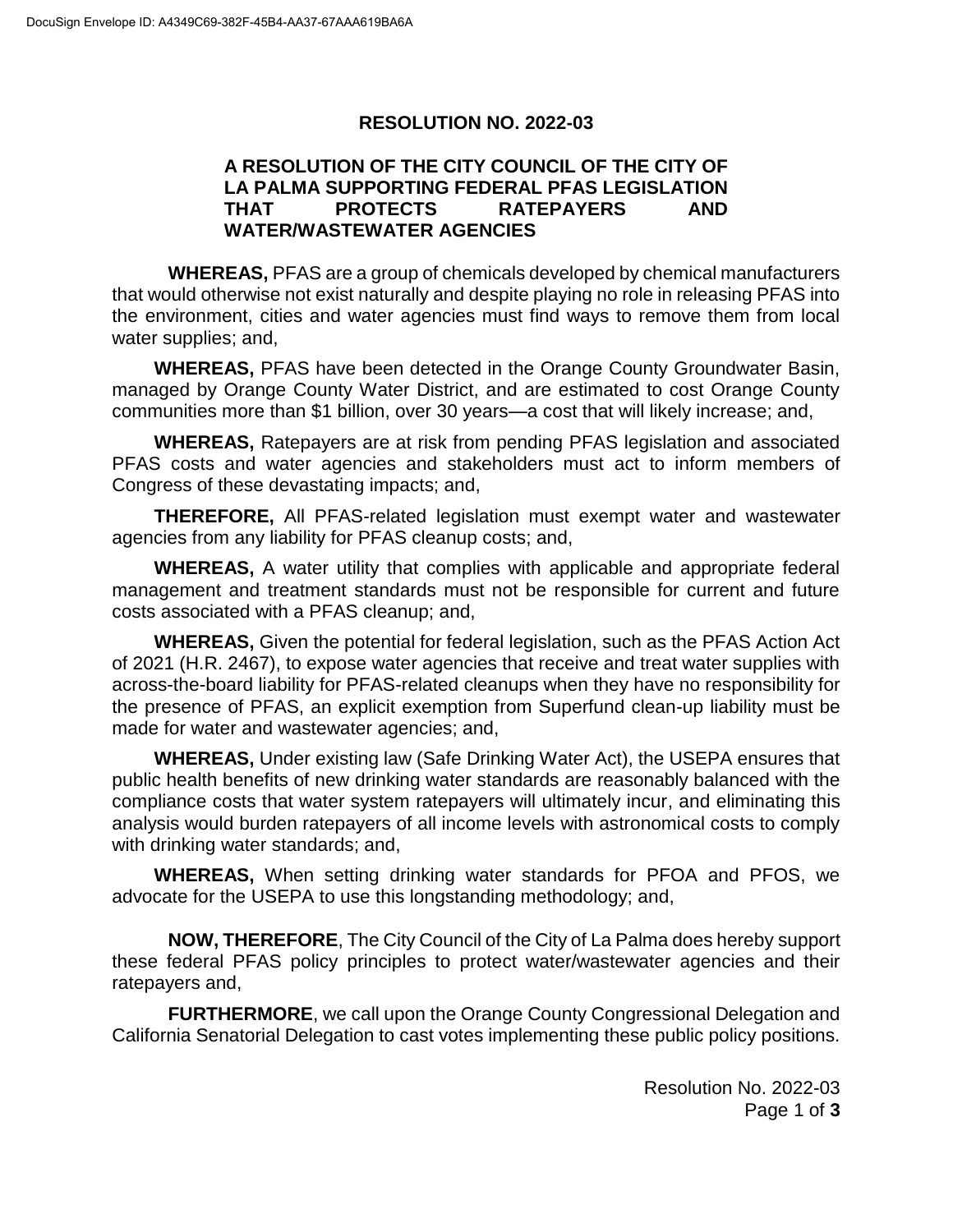## **RESOLUTION NO. 2022-03**

## **A RESOLUTION OF THE CITY COUNCIL OF THE CITY OF LA PALMA SUPPORTING FEDERAL PFAS LEGISLATION THAT PROTECTS RATEPAYERS AND WATER/WASTEWATER AGENCIES**

**WHEREAS,** PFAS are a group of chemicals developed by chemical manufacturers that would otherwise not exist naturally and despite playing no role in releasing PFAS into the environment, cities and water agencies must find ways to remove them from local water supplies; and,

**WHEREAS,** PFAS have been detected in the Orange County Groundwater Basin, managed by Orange County Water District, and are estimated to cost Orange County communities more than \$1 billion, over 30 years—a cost that will likely increase; and,

**WHEREAS,** Ratepayers are at risk from pending PFAS legislation and associated PFAS costs and water agencies and stakeholders must act to inform members of Congress of these devastating impacts; and,

**THEREFORE,** All PFAS-related legislation must exempt water and wastewater agencies from any liability for PFAS cleanup costs; and,

**WHEREAS,** A water utility that complies with applicable and appropriate federal management and treatment standards must not be responsible for current and future costs associated with a PFAS cleanup; and,

**WHEREAS,** Given the potential for federal legislation, such as the PFAS Action Act of 2021 (H.R. 2467), to expose water agencies that receive and treat water supplies with across-the-board liability for PFAS-related cleanups when they have no responsibility for the presence of PFAS, an explicit exemption from Superfund clean-up liability must be made for water and wastewater agencies; and,

**WHEREAS,** Under existing law (Safe Drinking Water Act), the USEPA ensures that public health benefits of new drinking water standards are reasonably balanced with the compliance costs that water system ratepayers will ultimately incur, and eliminating this analysis would burden ratepayers of all income levels with astronomical costs to comply with drinking water standards; and,

**WHEREAS,** When setting drinking water standards for PFOA and PFOS, we advocate for the USEPA to use this longstanding methodology; and,

**NOW, THEREFORE**, The City Council of the City of La Palma does hereby support these federal PFAS policy principles to protect water/wastewater agencies and their ratepayers and,

**FURTHERMORE**, we call upon the Orange County Congressional Delegation and California Senatorial Delegation to cast votes implementing these public policy positions.

> Resolution No. 2022-03 Page 1 of **3**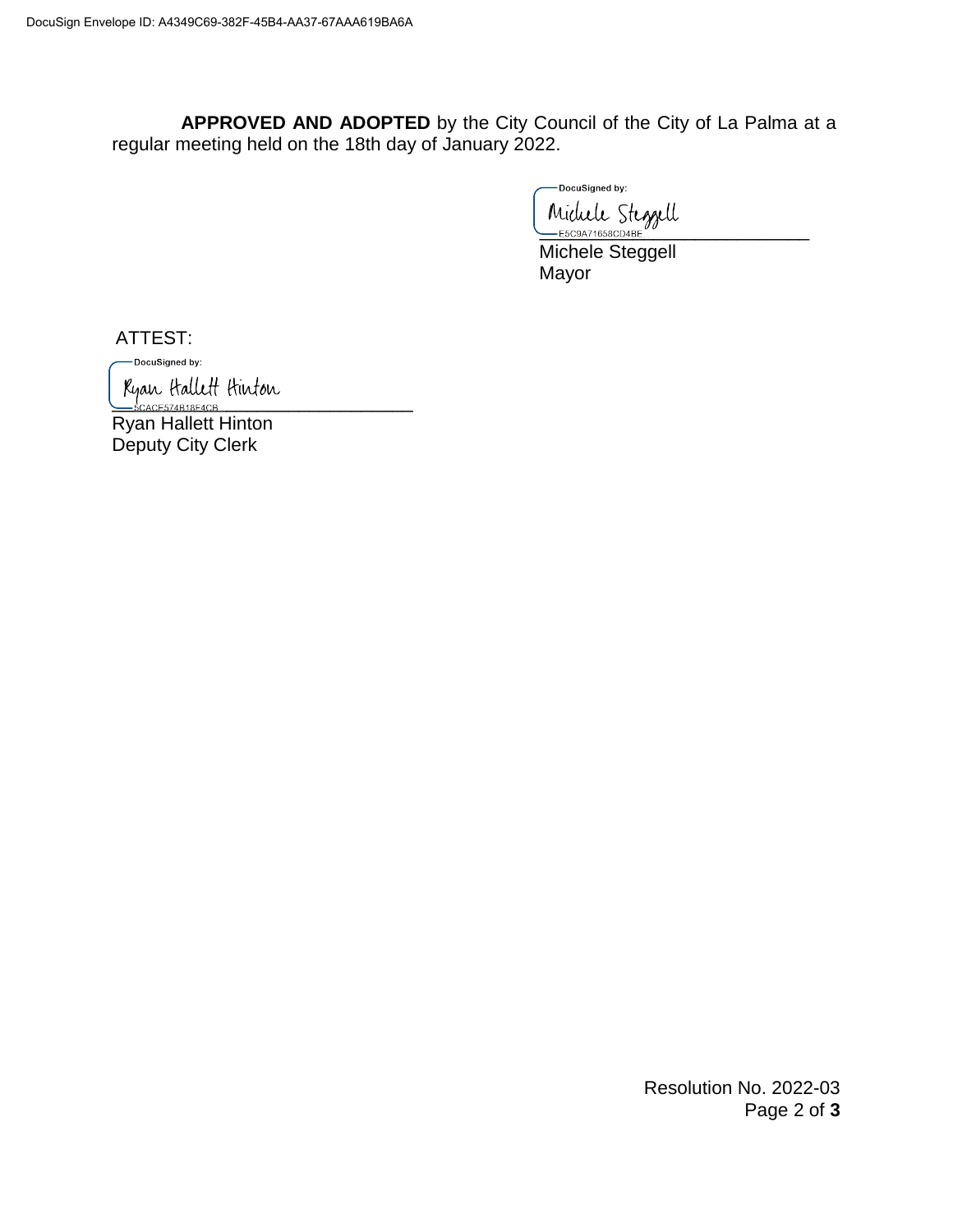**APPROVED AND ADOPTED** by the City Council of the City of La Palma at a regular meeting held on the 18th day of January 2022.

DocuSigned by: Michele Steggell

Michele Steggell Mayor

ATTEST:

-DocuSigned by:

Kyan Hallett Hinton

Ryan Hallett Hinton Deputy City Clerk

> Resolution No. 2022-03 Page 2 of **3**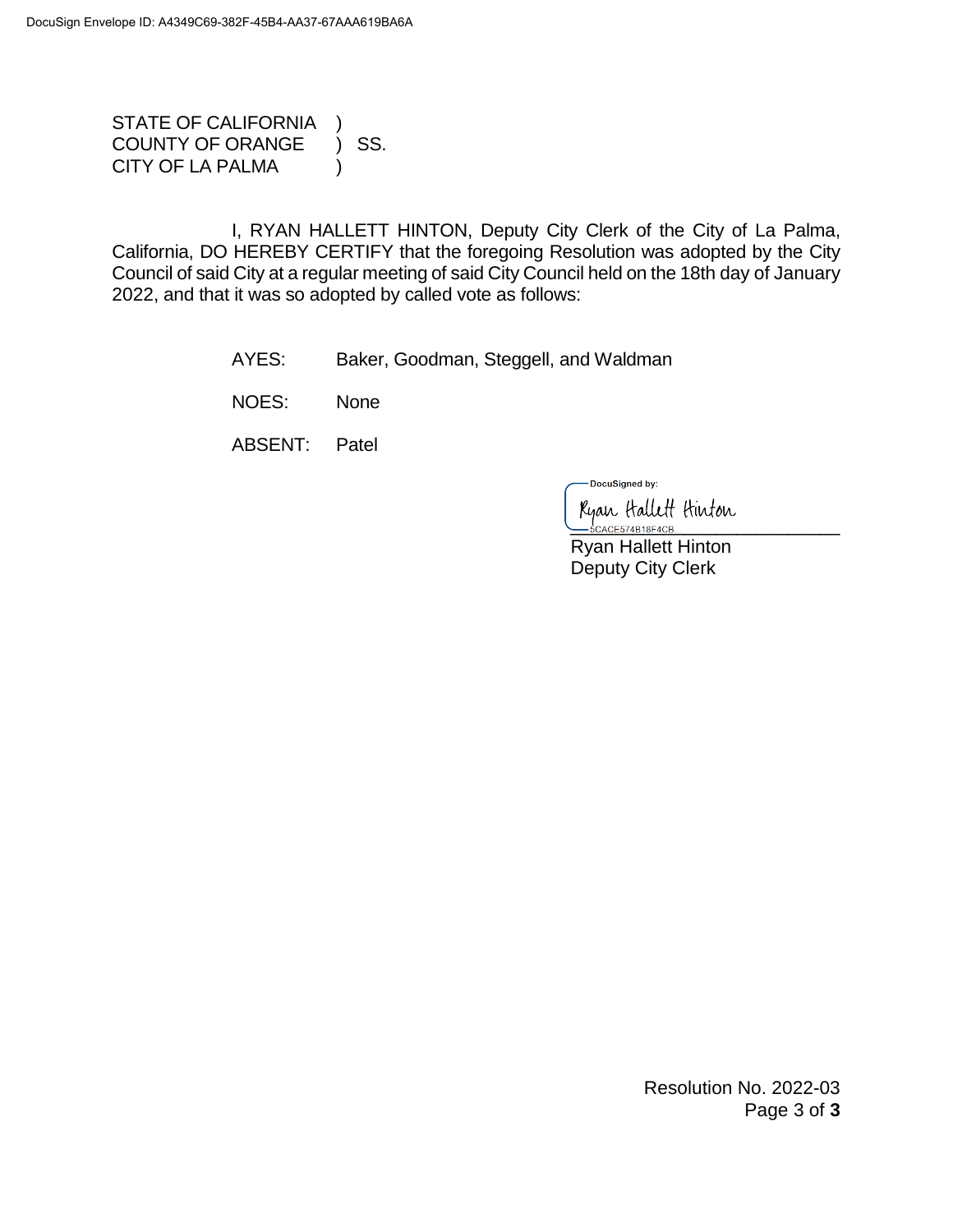STATE OF CALIFORNIA COUNTY OF ORANGE ) SS. CITY OF LA PALMA (1)

I, RYAN HALLETT HINTON, Deputy City Clerk of the City of La Palma, California, DO HEREBY CERTIFY that the foregoing Resolution was adopted by the City Council of said City at a regular meeting of said City Council held on the 18th day of January 2022, and that it was so adopted by called vote as follows:

AYES: Baker, Goodman, Steggell, and Waldman

NOES: None

ABSENT: Patel

-DocuSigned by:

Ryan Hallett Hinton

 Ryan Hallett Hinton Deputy City Clerk

> Resolution No. 2022-03 Page 3 of **3**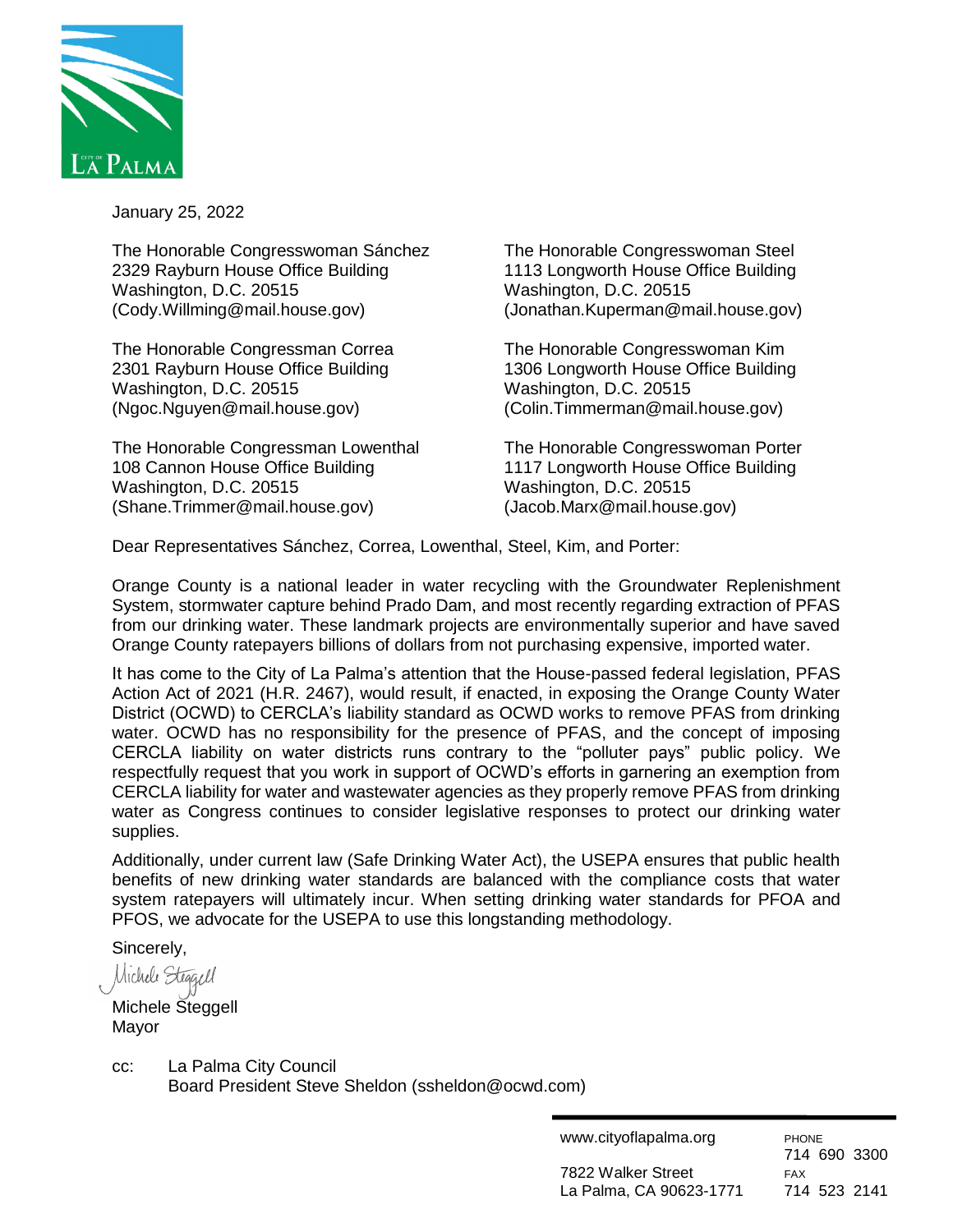

January 25, 2022

The Honorable Congresswoman Sánchez The Honorable Congresswoman Steel 2329 Rayburn House Office Building 1113 Longworth House Office Building Washington, D.C. 20515 Washington, D.C. 20515 (Cody.Willming@mail.house.gov) (Jonathan.Kuperman@mail.house.gov)

The Honorable Congressman Correa The Honorable Congresswoman Kim Washington, D.C. 20515 Washington, D.C. 20515 (Ngoc.Nguyen@mail.house.gov) (Colin.Timmerman@mail.house.gov)

The Honorable Congressman Lowenthal The Honorable Congresswoman Porter 108 Cannon House Office Building 1117 Longworth House Office Building Washington, D.C. 20515 Washington, D.C. 20515 (Shane.Trimmer@mail.house.gov) (Jacob.Marx@mail.house.gov)

2301 Rayburn House Office Building 1306 Longworth House Office Building

Dear Representatives Sánchez, Correa, Lowenthal, Steel, Kim, and Porter:

Orange County is a national leader in water recycling with the Groundwater Replenishment System, stormwater capture behind Prado Dam, and most recently regarding extraction of PFAS from our drinking water. These landmark projects are environmentally superior and have saved Orange County ratepayers billions of dollars from not purchasing expensive, imported water.

It has come to the City of La Palma's attention that the House-passed federal legislation, PFAS Action Act of 2021 (H.R. 2467), would result, if enacted, in exposing the Orange County Water District (OCWD) to CERCLA's liability standard as OCWD works to remove PFAS from drinking water. OCWD has no responsibility for the presence of PFAS, and the concept of imposing CERCLA liability on water districts runs contrary to the "polluter pays" public policy. We respectfully request that you work in support of OCWD's efforts in garnering an exemption from CERCLA liability for water and wastewater agencies as they properly remove PFAS from drinking water as Congress continues to consider legislative responses to protect our drinking water supplies.

Additionally, under current law (Safe Drinking Water Act), the USEPA ensures that public health benefits of new drinking water standards are balanced with the compliance costs that water system ratepayers will ultimately incur. When setting drinking water standards for PFOA and PFOS, we advocate for the USEPA to use this longstanding methodology.

Sincerely,

Michele Steggell

Michele Steggell Mayor

cc: La Palma City Council

Board President Steve Sheldon (ssheldon@ocwd.com)

| www.cityoflapalma.org   | <b>PHONE</b> |  |
|-------------------------|--------------|--|
|                         | 714 690 3300 |  |
| 7822 Walker Street      | <b>FAX</b>   |  |
| La Palma, CA 90623-1771 | 714 523 2141 |  |